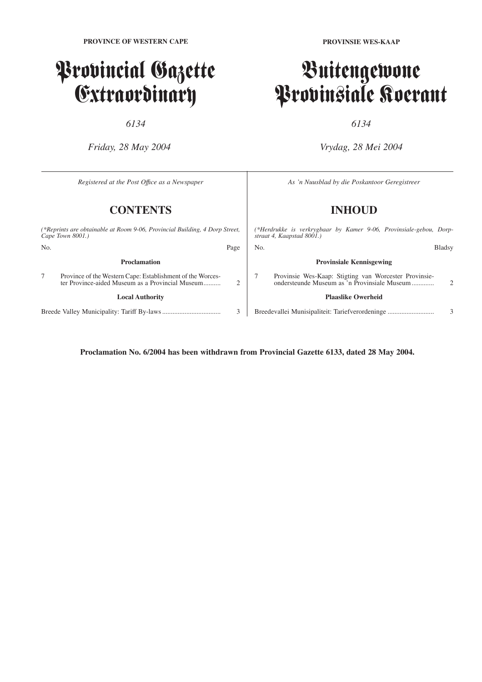## Provincial Gazette Extraordinary

*6134*

*Friday, 28 May 2004*

**PROVINSIE WES-KAAP**

## Buitengewone Provinsiale Koerant

*6134*

*Vrydag, 28 Mei 2004*

| Registered at the Post Office as a Newspaper                                                    |                                                                                                                |      | As 'n Nuusblad by die Poskantoor Geregistreer                                                   |                                                                                                       |                |  |
|-------------------------------------------------------------------------------------------------|----------------------------------------------------------------------------------------------------------------|------|-------------------------------------------------------------------------------------------------|-------------------------------------------------------------------------------------------------------|----------------|--|
| <b>CONTENTS</b>                                                                                 |                                                                                                                |      |                                                                                                 | <b>INHOUD</b>                                                                                         |                |  |
| (*Reprints are obtainable at Room 9-06, Provincial Building, 4 Dorp Street,<br>Cape Town 8001.) |                                                                                                                |      | (*Herdrukke is verkrygbaar by Kamer 9-06, Provinsiale-gebou, Dorp-<br>straat 4, Kaapstad 8001.) |                                                                                                       |                |  |
| No.                                                                                             |                                                                                                                | Page | No.                                                                                             |                                                                                                       | <b>Bladsy</b>  |  |
|                                                                                                 | <b>Proclamation</b>                                                                                            |      |                                                                                                 | <b>Provinsiale Kennisgewing</b>                                                                       |                |  |
|                                                                                                 | Province of the Western Cape: Establishment of the Worces-<br>ter Province-aided Museum as a Provincial Museum |      |                                                                                                 | Provinsie Wes-Kaap: Stigting van Worcester Provinsie-<br>ondersteunde Museum as 'n Provinsiale Museum | $\mathfrak{D}$ |  |
|                                                                                                 | <b>Local Authority</b>                                                                                         |      |                                                                                                 | <b>Plaaslike Owerheid</b>                                                                             |                |  |
|                                                                                                 |                                                                                                                | 3    |                                                                                                 | Breedevallei Munisipaliteit: Tariefverordeninge                                                       | 3              |  |

**Proclamation No. 6/2004 has been withdrawn from Provincial Gazette 6133, dated 28 May 2004.**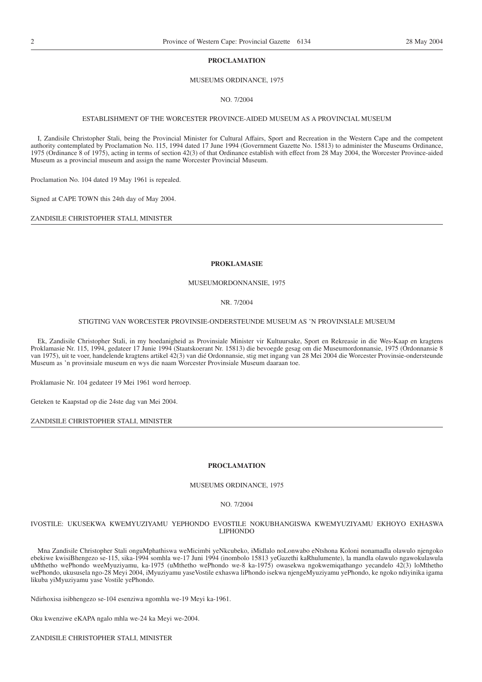## **PROCLAMATION**

## MUSEUMS ORDINANCE, 1975

NO. 7/2004

## ESTABLISHMENT OF THE WORCESTER PROVINCE-AIDED MUSEUM AS A PROVINCIAL MUSEUM

I, Zandisile Christopher Stali, being the Provincial Minister for Cultural Affairs, Sport and Recreation in the Western Cape and the competent authority contemplated by Proclamation No. 115, 1994 dated 17 June 1994 (Government Gazette No. 15813) to administer the Museums Ordinance, 1975 (Ordinance 8 of 1975), acting in terms of section 42(3) of that Ordinance establish with effect from 28 May 2004, the Worcester Province-aided Museum as a provincial museum and assign the name Worcester Provincial Museum.

Proclamation No. 104 dated 19 May 1961 is repealed.

Signed at CAPE TOWN this 24th day of May 2004.

ZANDISILE CHRISTOPHER STALI, MINISTER

### **PROKLAMASIE**

## MUSEUMORDONNANSIE, 1975

#### NR. 7/2004

#### STIGTING VAN WORCESTER PROVINSIE-ONDERSTEUNDE MUSEUM AS 'N PROVINSIALE MUSEUM

Ek, Zandisile Christopher Stali, in my hoedanigheid as Provinsiale Minister vir Kultuursake, Sport en Rekreasie in die Wes-Kaap en kragtens Proklamasie Nr. 115, 1994, gedateer 17 Junie 1994 (Staatskoerant Nr. 15813) die bevoegde gesag om die Museumordonnansie, 1975 (Ordonnansie 8 van 1975), uit te voer, handelende kragtens artikel 42(3) van dié Ordonnansie, stig met ingang van 28 Mei 2004 die Worcester Provinsie-ondersteunde Museum as 'n provinsiale museum en wys die naam Worcester Provinsiale Museum daaraan toe.

Proklamasie Nr. 104 gedateer 19 Mei 1961 word herroep.

Geteken te Kaapstad op die 24ste dag van Mei 2004.

ZANDISILE CHRISTOPHER STALI, MINISTER

## **PROCLAMATION**

## MUSEUMS ORDINANCE, 1975

NO. 7/2004

IVOSTILE: UKUSEKWA KWEMYUZIYAMU YEPHONDO EVOSTILE NOKUBHANGISWA KWEMYUZIYAMU EKHOYO EXHASWA LIPHONDO

Mna Zandisile Christopher Stali onguMphathiswa weMicimbi yeNkcubeko, iMidlalo noLonwabo eNtshona Koloni nonamadla olawulo njengoko ebekiwe kwisiBhengezo se-115, sika-1994 somhla we-17 Juni 1994 (inombolo 15813 yeGazethi kaRhulumente), la mandla olawulo ngawokulawula uMthetho wePhondo weeMyuziyamu, ka-1975 (uMthetho wePhondo we-8 ka-1975) owasekwa ngokwemiqathango yecandelo 42(3) loMthetho wePhondo, ukususela ngo-28 Meyi 2004, iMyuziyamu yaseVostile exhaswa liPhondo isekwa njengeMyuziyamu yePhondo, ke ngoko ndiyinika igama likuba yiMyuziyamu yase Vostile yePhondo.

Ndirhoxisa isibhengezo se-104 esenziwa ngomhla we-19 Meyi ka-1961.

Oku kwenziwe eKAPA ngalo mhla we-24 ka Meyi we-2004.

ZANDISILE CHRISTOPHER STALI, MINISTER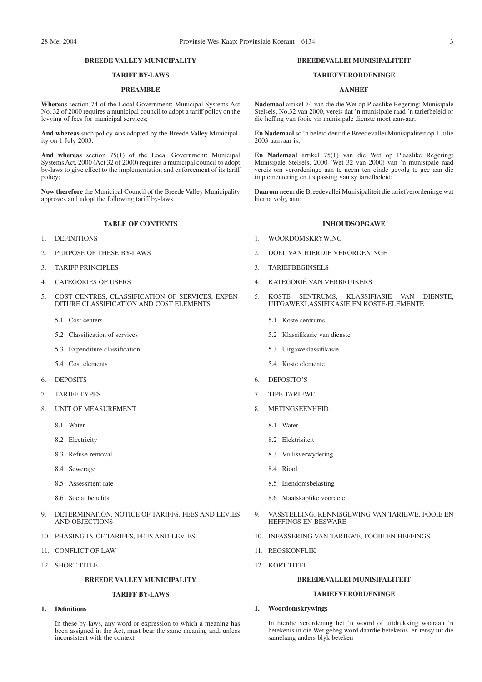## **BREEDE VALLEY MUNICIPALITY**

## **TARIFF BY-LAWS**

#### **PREAMBLE**

**Whereas** section 74 of the Local Government: Municipal Systems Act No. 32 of 2000 requires a municipal council to adopt a tariff policy on the levying of fees for municipal services;

**And whereas** such policy was adopted by the Breede Valley Municipality on 1 July 2003.

**And whereas** section 75(1) of the Local Government: Municipal Systems Act, 2000 (Act 32 of 2000) requires a municipal council to adopt by-laws to give effect to the implementation and enforcement of its tariff policy;

**Now therefore** the Municipal Council of the Breede Valley Municipality approves and adopt the following tariff by-laws:

#### **TABLE OF CONTENTS**

- 1. DEFINITIONS
- 2. PURPOSE OF THESE BY-LAWS
- 3. TARIFF PRINCIPLES
- 4. CATEGORIES OF USERS
- 5. COST CENTRES, CLASSIFICATION OF SERVICES, EXPEN-DITURE CLASSIFICATION AND COST ELEMENTS
	- 5.1 Cost centers
	- 5.2 Classification of services
	- 5.3 Expenditure classification
	- 5.4 Cost elements
- 6. DEPOSITS
- 7. TARIFF TYPES
- 8. UNIT OF MEASUREMENT
	- 8.1 Water
	- 8.2 Electricity
	- 8.3 Refuse removal
	- 8.4 Sewerage
	- 8.5 Assessment rate
	- 8.6 Social benefits
- 9. DETERMINATION, NOTICE OF TARIFFS, FEES AND LEVIES AND OBJECTIONS
- 10. PHASING IN OF TARIFFS, FEES AND LEVIES
- 11. CONFLICT OF LAW
- 12. SHORT TITLE

## **BREEDE VALLEY MUNICIPALITY**

## **TARIFF BY-LAWS**

## **1. Definitions**

In these by-laws, any word or expression to which a meaning has been assigned in the Act, must bear the same meaning and, unless inconsistent with the context—

#### **BREEDEVALLEI MUNISIPALITEIT**

## **TARIEFVERORDENINGE**

#### **AANHEF**

**Nademaal** artikel 74 van die die Wet op Plaaslike Regering: Munisipale Stelsels, No.32 van 2000, vereis dat 'n munisipale raad 'n tariefbeleid or die heffing van fooie vir munisipale dienste moet aanvaar;

**En Nademaal** so 'n beleid deur die Breedevallei Munisipaliteit op 1 Julie 2003 aanvaar is;

**En Nademaal** artikel 75(1) van die Wet op Plaaslike Regering: Munisipale Stelsels, 2000 (Wet 32 van 2000) van 'n munisipale raad vereis om verordeninge aan te neem ten einde gevolg te gee aan die implementering en toepassing van sy tariefbeleid;

**Daarom** neem die Breedevallei Munisipaliteit die tariefverordeninge wat hierna volg, aan:

#### **INHOUDSOPGAWE**

- 1. WOORDOMSKRYWING
- 2. DOEL VAN HIERDIE VERORDENINGE
- 3. TARIEFBEGINSELS
- 4. KATEGORIË VAN VERBRUIKERS
- 5. KOSTE SENTRUMS, KLASSIFIASIE VAN DIENSTE, UITGAWEKLASSIFIKASIE EN KOSTE-ELEMENTE
	- 5.1 Koste sentrums
	- 5.2 Klassifikasie van dienste
	- 5.3 Uitgaweklassifikasie
	- 5.4 Koste elemente
- 6. DEPOSITO'S
- 7. TIPE TARIEWE
- 8. METINGSEENHEID
	- 8.1 Water
	- 8.2 Elektrisiteit
	- 8.3 Vullisverwydering
	- 8.4 Riool
	- 8.5 Eiendomsbelasting
	- 8.6 Maatskaplike voordele
- 9. VASSTELLING, KENNISGEWING VAN TARIEWE, FOOIE EN HEFFINGS EN BESWARE
- 10. INFASSERING VAN TARIEWE, FOOIE EN HEFFINGS
- 11. REGSKONFLIK
- 12. KORT TITEL

#### **BREEDEVALLEI MUNISIPALITEIT**

## **TARIEFVERORDENINGE**

## **1. Woordomskrywings**

In hierdie verordening het 'n woord of uitdrukking waaraan 'n betekenis in die Wet geheg word daardie betekenis, en tensy uit die samehang anders blyk beteken—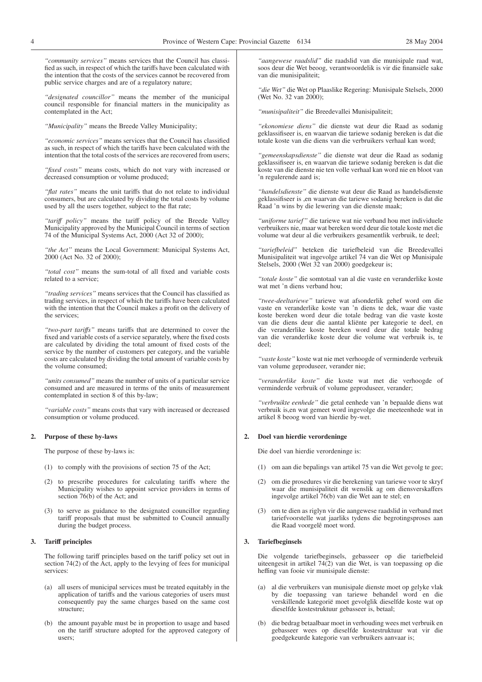*''community services''* means services that the Council has classified as such, in respect of which the tariffs have been calculated with the intention that the costs of the services cannot be recovered from public service charges and are of a regulatory nature;

*''designated councillor''* means the member of the municipal council responsible for financial matters in the municipality as contemplated in the Act;

*''Municipality''* means the Breede Valley Municipality;

*''economic services''* means services that the Council has classified as such, in respect of which the tariffs have been calculated with the intention that the total costs of the services are recovered from users;

*''fixed costs''* means costs, which do not vary with increased or decreased consumption or volume produced;

*''flat rates''* means the unit tariffs that do not relate to individual consumers, but are calculated by dividing the total costs by volume used by all the users together, subject to the flat rate;

*''tariff policy''* means the tariff policy of the Breede Valley Municipality approved by the Municipal Council in terms of section 74 of the Municipal Systems Act, 2000 (Act 32 of 2000);

*''the Act''* means the Local Government: Municipal Systems Act, 2000 (Act No. 32 of 2000);

*''total cost''* means the sum-total of all fixed and variable costs related to a service;

*''trading services''* means services that the Council has classified as trading services, in respect of which the tariffs have been calculated with the intention that the Council makes a profit on the delivery of the services;

*''two-part tariffs''* means tariffs that are determined to cover the fixed and variable costs of a service separately, where the fixed costs are calculated by dividing the total amount of fixed costs of the service by the number of customers per category, and the variable costs are calculated by dividing the total amount of variable costs by the volume consumed;

*''units consumed''* means the number of units of a particular service consumed and are measured in terms of the units of measurement contemplated in section 8 of this by-law;

*''variable costs''* means costs that vary with increased or decreased consumption or volume produced.

#### **2. Purpose of these by-laws**

The purpose of these by-laws is:

- (1) to comply with the provisions of section 75 of the Act;
- (2) to prescribe procedures for calculating tariffs where the Municipality wishes to appoint service providers in terms of section 76(b) of the Act; and
- (3) to serve as guidance to the designated councillor regarding tariff proposals that must be submitted to Council annually during the budget process.

## **3. Tariff principles**

The following tariff principles based on the tariff policy set out in section 74(2) of the Act, apply to the levying of fees for municipal services:

- (a) all users of municipal services must be treated equitably in the application of tariffs and the various categories of users must consequently pay the same charges based on the same cost structure;
- (b) the amount payable must be in proportion to usage and based on the tariff structure adopted for the approved category of users;

*''aangewese raadslid''* die raadslid van die munisipale raad wat, soos deur die Wet beoog, verantwoordelik is vir die finansiële sake van die munisipaliteit;

*''die Wet''* die Wet op Plaaslike Regering: Munisipale Stelsels, 2000 (Wet No. 32 van 2000);

*''munisipaliteit''* die Breedevallei Munisipaliteit;

*''ekonomiese diens''* die dienste wat deur die Raad as sodanig geklassifiseer is, en waarvan die tariewe sodanig bereken is dat die totale koste van die diens van die verbruikers verhaal kan word;

*''gemeenskapsdienste''* die dienste wat deur die Raad as sodanig geklassifiseer is, en waarvan die tariewe sodanig bereken is dat die koste van die dienste nie ten volle verhaal kan word nie en bloot van 'n regulerende aard is;

*''handelsdienste''* die dienste wat deur die Raad as handelsdienste geklassifiseer is ,en waarvan die tariewe sodanig bereken is dat die Raad 'n wins by die lewering van die dienste maak;

*''uniforme tarief''* die tariewe wat nie verband hou met individuele verbruikers nie, maar wat bereken word deur die totale koste met die volume wat deur al die verbruikers gesamentlik verbruik, te deel;

*''tariefbeleid''* beteken die tariefbeleid van die Breedevallei Munisipaliteit wat ingevolge artikel 74 van die Wet op Munisipale Stelsels, 2000 (Wet 32 van 2000) goedgekeur is;

*''totale koste''* die somtotaal van al die vaste en veranderlike koste wat met 'n diens verband hou;

*''twee-deeltariewe''* tariewe wat afsonderlik gehef word om die vaste en veranderlike koste van 'n diens te dek, waar die vaste koste bereken word deur die totale bedrag van die vaste koste van die diens deur die aantal kliënte per kategorie te deel, en die veranderlike koste bereken word deur die totale bedrag van die veranderlike koste deur die volume wat verbruik is, te deel;

*''vaste koste''* koste wat nie met verhoogde of verminderde verbruik van volume geproduseer, verander nie;

*''veranderlike koste''* die koste wat met die verhoogde of verminderde verbruik of volume geproduseer, verander;

*''verbruikte eenhede''* die getal eenhede van 'n bepaalde diens wat verbruik is,en wat gemeet word ingevolge die meeteenhede wat in artikel 8 beoog word van hierdie by-wet.

#### **2. Doel van hierdie verordeninge**

Die doel van hierdie verordeninge is:

- (1) om aan die bepalings van artikel 75 van die Wet gevolg te gee;
- (2) om die prosedures vir die berekening van tariewe voor te skryf waar die munisipaliteit dit wenslik ag om diensverskaffers ingevolge artikel 76(b) van die Wet aan te stel; en
- (3) om te dien as riglyn vir die aangewese raadslid in verband met tariefvoorstelle wat jaarliks tydens die begrotingsproses aan die Raad voorgelê moet word.

### **3. Tariefbeginsels**

Die volgende tariefbeginsels, gebasseer op die tariefbeleid uiteengesit in artikel 74(2) van die Wet, is van toepassing op die heffing van fooie vir munisipale dienste:

- (a) al die verbruikers van munisipale dienste moet op gelyke vlak by die toepassing van tariewe behandel word en die verskillende kategorië moet gevolglik dieselfde koste wat op dieselfde kostestruktuur gebasseer is, betaal;
- (b) die bedrag betaalbaar moet in verhouding wees met verbruik en gebasseer wees op dieselfde kostestruktuur wat vir die goedgekeurde kategorie van verbruikers aanvaar is;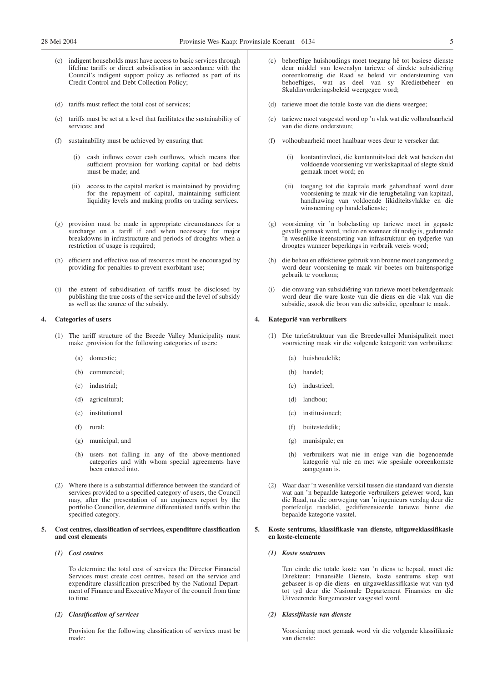- indigent households must have access to basic services through lifeline tariffs or direct subsidisation in accordance with the Council's indigent support policy as reflected as part of its Credit Control and Debt Collection Policy;
- (d) tariffs must reflect the total cost of services;
- (e) tariffs must be set at a level that facilitates the sustainability of services; and
- (f) sustainability must be achieved by ensuring that:
	- (i) cash inflows cover cash outflows, which means that sufficient provision for working capital or bad debts must be made; and
	- (ii) access to the capital market is maintained by providing for the repayment of capital, maintaining sufficient liquidity levels and making profits on trading services.
- (g) provision must be made in appropriate circumstances for a surcharge on a tariff if and when necessary for major breakdowns in infrastructure and periods of droughts when a restriction of usage is required;
- (h) efficient and effective use of resources must be encouraged by providing for penalties to prevent exorbitant use;
- (i) the extent of subsidisation of tariffs must be disclosed by publishing the true costs of the service and the level of subsidy as well as the source of the subsidy.

## **4. Categories of users**

- (1) The tariff structure of the Breede Valley Municipality must make ,provision for the following categories of users:
	- (a) domestic;
	- (b) commercial;
	- (c) industrial;
	- (d) agricultural;
	- (e) institutional
	- (f) rural;
	- (g) municipal; and
	- (h) users not falling in any of the above-mentioned categories and with whom special agreements have been entered into.
- (2) Where there is a substantial difference between the standard of services provided to a specified category of users, the Council may, after the presentation of an engineers report by the portfolio Councillor, determine differentiated tariffs within the specified category.

## **5. Cost centres, classification of services, expenditure classification and cost elements**

*(1) Cost centres*

To determine the total cost of services the Director Financial Services must create cost centres, based on the service and expenditure classification prescribed by the National Department of Finance and Executive Mayor of the council from time to time.

*(2) Classification of services*

Provision for the following classification of services must be made:

- behoeftige huishoudings moet toegang hê tot basiese dienste deur middel van lewenslyn tariewe of direkte subsidiëring ooreenkomstig die Raad se beleid vir ondersteuning van behoeftiges, wat as deel van sy Kredietbeheer en Skuldinvorderingsbeleid weergegee word;
- (d) tariewe moet die totale koste van die diens weergee;
- (e) tariewe moet vasgestel word op 'n vlak wat die volhoubaarheid van die diens ondersteun;
- (f) volhoubaarheid moet haalbaar wees deur te verseker dat:
	- kontantinvloei, die kontantuitvloei dek wat beteken dat voldoende voorsiening vir werkskapitaal of slegte skuld gemaak moet word; en
	- (ii) toegang tot die kapitale mark gehandhaaf word deur voorsiening te maak vir die terugbetaling van kapitaal, handhawing van voldoende likiditeitsvlakke en die winsneming op handelsdienste;
- (g) voorsiening vir 'n bobelasting op tariewe moet in gepaste gevalle gemaak word, indien en wanneer dit nodig is, gedurende 'n wesenlike ineenstorting van infrastruktuur en tydperke van droogtes wanneer beperkings in verbruik vereis word;
- die behou en effektiewe gebruik van bronne moet aangemoedig word deur voorsiening te maak vir boetes om buitensporige gebruik te voorkom;
- (i) die omvang van subsidiëring van tariewe moet bekendgemaak word deur die ware koste van die diens en die vlak van die subsidie, asook die bron van die subsidie, openbaar te maak.

#### **4. Kategorië van verbruikers**

- (1) Die tariefstruktuur van die Breedevallei Munisipaliteit moet voorsiening maak vir die volgende kategorië van verbruikers:
	- (a) huishoudelik;
	- (b) handel;
	- (c) industriëel;
	- (d) landbou;
	- (e) institusioneel;
	- (f) buitestedelik;
	- (g) munisipale; en
	- (h) verbruikers wat nie in enige van die bogenoemde kategorië val nie en met wie spesiale ooreenkomste aangegaan is.
- (2) Waar daar 'n wesenlike verskil tussen die standaard van dienste wat aan 'n bepaalde kategorie verbruikers gelewer word, kan die Raad, na die oorweging van 'n ingenieurs verslag deur die portefeulje raadslid, gedifferensieerde tariewe binne die bepaalde kategorie vasstel.

### **5. Koste sentrums, klassifikasie van dienste, uitgaweklassifikasie en koste-elemente**

## *(1) Koste sentrums*

Ten einde die totale koste van 'n diens te bepaal, moet die Direkteur: Finansiële Dienste, koste sentrums skep wat gebaseer is op die diens- en uitgaweklassifikasie wat van tyd tot tyd deur die Nasionale Departement Finansies en die Uitvoerende Burgemeester vasgestel word.

## *(2) Klassifikasie van dienste*

Voorsiening moet gemaak word vir die volgende klassifikasie van dienste: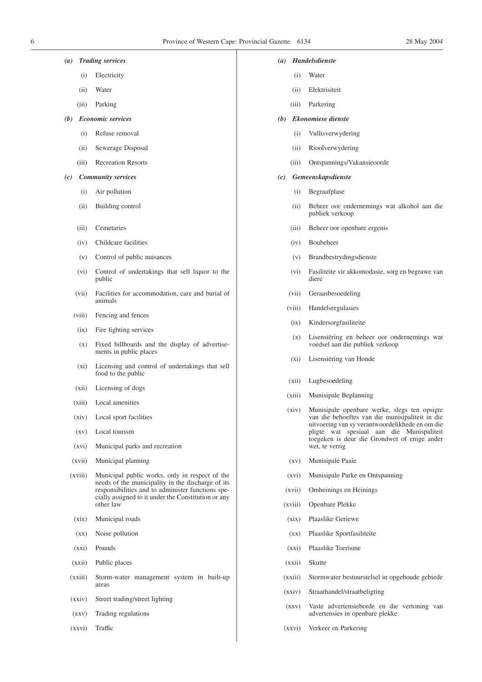- *(a) Trading services*
	- (i) Electricity
	- (ii) Water
	- (iii) Parking
- *(b) Economic services*
	- (i) Refuse removal
	- (ii) Sewerage Disposal
	- (iii) Recreation Resorts
- *(c) Community services*
	- (i) Air pollution
	- (ii) Building control
	- (iii) Cemetaries
	- (iv) Childcare facilities
	- (v) Control of public nuisances
	- (vi) Control of undertakings that sell liquor to the public
	- (vii) Facilities for accommodation, care and burial of animals
	- (viii) Fencing and fences
	- (ix) Fire fighting services
	- (x) Fixed billboards and the display of advertisements in public places
	- (xi) Licensing and control of undertakings that sell food to the public
	- (xii) Licensing of dogs
	- (xiii) Local amenities
	- (xiv) Local sport facilities
	- (xv) Local tourism
	- (xvi) Municipal parks and recreation
	- (xvii) Municipal planning
	- (xviii) Municipal public works, only in respect of the needs of the municipality in the discharge of its responsibilities and to administer functions specially assigned to it under the Constitution or any other law
	- (xix) Municipal roads
	- (xx) Noise pollution
	- (xxi) Pounds
	- (xxii) Public places
	- (xxiii) Storm-water management system in built-up areas
	- (xxiv) Street trading/street lighting
	- (xxv) Trading regulations
	- (xxvi) Traffic

#### *(a) Handelsdienste*

- (i) Water
- (ii) Elektrisiteit
- (iii) Parkering
- *(b) Ekonomiese dienste*
	- (i) Vullisverwydering
	- (ii) Rioolverwydering
	- (iii) Ontspannings/Vakansieoorde
- *(c) Gemeenskapsdienste*
	- (i) Begraafplase
	- (ii) Beheer oor ondernemings wat alkohol aan die publiek verkoop
	- (iii) Beheer oor openbare ergenis
	- (iv) Boubeheer
	- (v) Brandbestrydingsdienste
	- (vi) Fasiliteite vir akkomodasie, sorg en begrawe van diere
	- (vii) Geraasbesoedeling
	- (viii) Handelsregulasies
	- (ix) Kindersorgfasiliteite
	- (x) Lisensiëring en beheer oor ondernemings wat voedsel aan die publiek verkoop
	- (xi) Lisensiëring van Honde
	- (xii) Lugbesoedeling
	- (xiii) Munisipale Beplanning
	- (xiv) Munisipale openbare werke, slegs ten opsigte van die behoeftes van die munisipaliteit in die uitvoering van sy verantwoordelikhede en om die pligte wat spesiaal aan die Munispaliteit toegeken is deur die Grondwet of enige ander wet, te verrig
	- (xv) Munisipale Paaie
	- (xvi) Munisipale Parke en Ontspanning
	- (xvii) Omheinings en Heinings
	- (xviii) Openbare Plekke
	- (xix) Plaaslike Geriewe
	- (xx) Plaaslike Sportfasiliteite
	- (xxi) Plaaslike Toerisme
	- (xxii) Skutte
	- (xxiii) Stormwater bestuurstelsel in opgeboude gebiede
	- (xxiv) Straathandel/straatbeligting
	- (xxv) Vaste advertensieborde en die vertoning van advertensies in openbare plekke
	- (xxvi) Verkeer en Parkering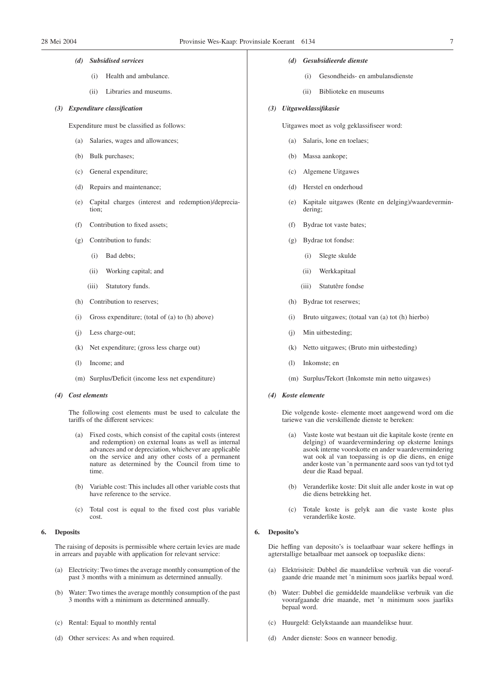## *(d) Subsidised services*

- (i) Health and ambulance.
- (ii) Libraries and museums.

#### *(3) Expenditure classification*

Expenditure must be classified as follows:

- (a) Salaries, wages and allowances;
- (b) Bulk purchases;
- (c) General expenditure;
- (d) Repairs and maintenance;
- (e) Capital charges (interest and redemption)/depreciation;
- Contribution to fixed assets;
- (g) Contribution to funds:
	- (i) Bad debts;
	- (ii) Working capital; and
	- (iii) Statutory funds.
- (h) Contribution to reserves;
- (i) Gross expenditure; (total of (a) to (h) above)
- (j) Less charge-out;
- (k) Net expenditure; (gross less charge out)
- (l) Income; and
- (m) Surplus/Deficit (income less net expenditure)

#### *(4) Cost elements*

The following cost elements must be used to calculate the tariffs of the different services:

- (a) Fixed costs, which consist of the capital costs (interest and redemption) on external loans as well as internal advances and or depreciation, whichever are applicable on the service and any other costs of a permanent nature as determined by the Council from time to time.
- (b) Variable cost: This includes all other variable costs that have reference to the service.
- (c) Total cost is equal to the fixed cost plus variable cost.

## **6. Deposits**

The raising of deposits is permissible where certain levies are made in arrears and payable with application for relevant service:

- (a) Electricity: Two times the average monthly consumption of the past 3 months with a minimum as determined annually.
- (b) Water: Two times the average monthly consumption of the past 3 months with a minimum as determined annually.
- (c) Rental: Equal to monthly rental
- (d) Other services: As and when required.

#### *(d) Gesubsidieerde dienste*

- (i) Gesondheids- en ambulansdienste
- (ii) Biblioteke en museums

#### *(3) Uitgaweklassifikasie*

Uitgawes moet as volg geklassifiseer word:

- (a) Salaris, lone en toelaes;
- (b) Massa aankope;
- (c) Algemene Uitgawes
- (d) Herstel en onderhoud
- (e) Kapitale uitgawes (Rente en delging)/waardevermindering;
- (f) Bydrae tot vaste bates;
- (g) Bydrae tot fondse:
	- (i) Slegte skulde
	- (ii) Werkkapitaal
	- (iii) Statutêre fondse
- (h) Bydrae tot reserwes;
- (i) Bruto uitgawes; (totaal van (a) tot (h) hierbo)
- (j) Min uitbesteding;
- (k) Netto uitgawes; (Bruto min uitbesteding)
- (l) Inkomste; en
- (m) Surplus/Tekort (Inkomste min netto uitgawes)

#### *(4) Koste elemente*

Die volgende koste- elemente moet aangewend word om die tariewe van die verskillende dienste te bereken:

- (a) Vaste koste wat bestaan uit die kapitale koste (rente en delging) of waardevermindering op eksterne lenings asook interne voorskotte en ander waardevermindering wat ook al van toepassing is op die diens, en enige ander koste van 'n permanente aard soos van tyd tot tyd deur die Raad bepaal.
- (b) Veranderlike koste: Dit sluit alle ander koste in wat op die diens betrekking het.
- (c) Totale koste is gelyk aan die vaste koste plus veranderlike koste.

## **6. Deposito's**

Die heffing van deposito's is toelaatbaar waar sekere heffings in agterstallige betaalbaar met aansoek op toepaslike diens:

- (a) Elektrisiteit: Dubbel die maandelikse verbruik van die voorafgaande drie maande met 'n minimum soos jaarliks bepaal word.
- (b) Water: Dubbel die gemiddelde maandelikse verbruik van die voorafgaande drie maande, met 'n minimum soos jaarliks bepaal word.
- (c) Huurgeld: Gelykstaande aan maandelikse huur.
- (d) Ander dienste: Soos en wanneer benodig.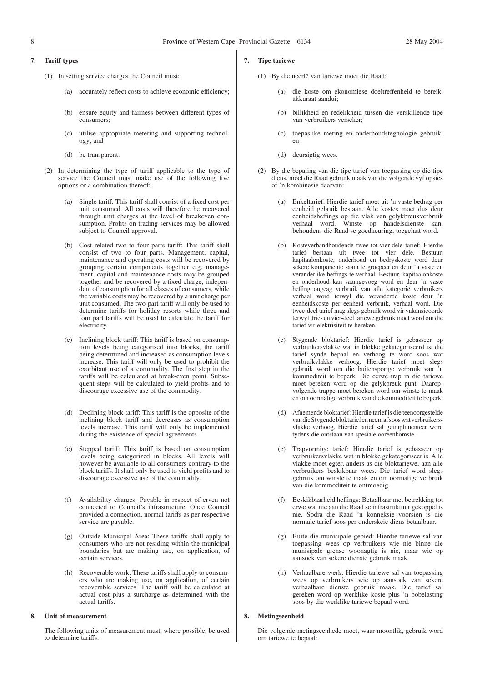#### **7. Tariff types**

- (1) In setting service charges the Council must:
	- (a) accurately reflect costs to achieve economic efficiency;
	- (b) ensure equity and fairness between different types of consumers;
	- (c) utilise appropriate metering and supporting technology; and
	- (d) be transparent.
- (2) In determining the type of tariff applicable to the type of service the Council must make use of the following five options or a combination thereof:
	- (a) Single tariff: This tariff shall consist of a fixed cost per unit consumed. All costs will therefore be recovered through unit charges at the level of breakeven consumption. Profits on trading services may be allowed subject to Council approval.
	- (b) Cost related two to four parts tariff: This tariff shall consist of two to four parts. Management, capital, maintenance and operating costs will be recovered by grouping certain components together e.g. management, capital and maintenance costs may be grouped together and be recovered by a fixed charge, independent of consumption for all classes of consumers, while the variable costs may be recovered by a unit charge per unit consumed. The two-part tariff will only be used to determine tariffs for holiday resorts while three and four part tariffs will be used to calculate the tariff for electricity.
	- (c) Inclining block tariff: This tariff is based on consumption levels being categorised into blocks, the tariff being determined and increased as consumption levels increase. This tariff will only be used to prohibit the exorbitant use of a commodity. The first step in the tariffs will be calculated at break-even point. Subsequent steps will be calculated to yield profits and to discourage excessive use of the commodity.
	- (d) Declining block tariff: This tariff is the opposite of the inclining block tariff and decreases as consumption levels increase. This tariff will only be implemented during the existence of special agreements.
	- (e) Stepped tariff: This tariff is based on consumption levels being categorized in blocks. All levels will however be available to all consumers contrary to the block tariffs. It shall only be used to yield profits and to discourage excessive use of the commodity.
	- (f) Availability charges: Payable in respect of erven not connected to Council's infrastructure. Once Council provided a connection, normal tariffs as per respective service are payable.
	- (g) Outside Municipal Area: These tariffs shall apply to consumers who are not residing within the municipal boundaries but are making use, on application, of certain services.
	- (h) Recoverable work: These tariffs shall apply to consumers who are making use, on application, of certain recoverable services. The tariff will be calculated at actual cost plus a surcharge as determined with the actual tariffs.

#### **8. Unit of measurement**

The following units of measurement must, where possible, be used to determine tariffs:

#### **7. Tipe tariewe**

- (1) By die neerlê van tariewe moet die Raad:
	- (a) die koste om ekonomiese doeltreffenheid te bereik, akkuraat aandui;
	- (b) billikheid en redelikheid tussen die verskillende tipe van verbruikers verseker;
	- (c) toepaslike meting en onderhoudstegnologie gebruik; en
	- (d) deursigtig wees.
- (2) By die bepaling van die tipe tarief van toepassing op die tipe diens, moet die Raad gebruik maak van die volgende vyf opsies of 'n kombinasie daarvan:
	- (a) Enkeltarief: Hierdie tarief moet uit 'n vaste bedrag per eenheid gebruik bestaan. Alle kostes moet dus deur eenheidsheffings op die vlak van gelykbreukverbruik verhaal word. Winste op handelsdienste kan, behoudens die Raad se goedkeuring, toegelaat word.
	- (b) Kosteverbandhoudende twee-tot-vier-dele tarief: Hierdie tarief bestaan uit twee tot vier dele. Bestuur, kapitaalonkoste, onderhoud en bedryskoste word deur sekere komponente saam te groepeer en deur 'n vaste en veranderlike heffings te verhaal. Bestuur, kapitaalonkoste en onderhoud kan saamgevoeg word en deur 'n vaste heffing ongeag verbruik van alle kategorië verbruikers verhaal word terwyl die veranderde koste deur 'n eenheidskoste per eenheid verbruik, verhaal word. Die twee-deel tarief mag slegs gebruik word vir vakansieoorde terwyl drie- en vier-deel tariewe gebruik moet word om die tarief vir elektrisiteit te bereken.
	- (c) Stygende bloktarief: Hierdie tarief is gebasseer op verbruikersvlakke wat in blokke gekategoriseerd is, die tarief synde bepaal en verhoog te word soos wat verbruikvlakke verhoog. Hierdie tarief moet slegs gebruik word om die buitensporige verbruik van 'n kommoditeit te beperk. Die eerste trap in die tariewe moet bereken word op die gelykbreuk punt. Daaropvolgende trappe moet bereken word om winste te maak en om oormatige verbruik van die kommoditeit te beperk.
	- (d) Afnemende bloktarief: Hierdie tarief is die teenoorgestelde van die Stygende bloktariefen neem af soos wat verbruikersvlakke verhoog. Hierdie tarief sal geimplimenteer word tydens die ontstaan van spesiale ooreenkomste.
	- (e) Trapvormige tarief: Hierdie tarief is gebasseer op verbruikersvlakke wat in blokke gekategoriseer is. Alle vlakke moet egter, anders as die bloktariewe, aan alle verbruikers beskikbaar wees. Die tarief word slegs gebruik om winste te maak en om oormatige verbruik van die kommoditeit te ontmoedig.
	- (f) Beskikbaarheid heffings: Betaalbaar met betrekking tot erwe wat nie aan die Raad se infrastruktuur gekoppel is nie. Sodra die Raad 'n konneksie voorsien is die normale tarief soos per onderskeie diens betaalbaar.
	- (g) Buite die munisipale gebied: Hierdie tariewe sal van toepassing wees op verbruikers wie nie binne die munisipale grense woonagtig is nie, maar wie op aansoek van sekere dienste gebruik maak.
	- (h) Verhaalbare werk: Hierdie tariewe sal van toepassing wees op verbruikers wie op aansoek van sekere verhaalbare dienste gebruik maak. Die tarief sal gereken word op werklike koste plus 'n bobelasting soos by die werklike tariewe bepaal word.

## **8. Metingseenheid**

Die volgende metingseenhede moet, waar moontlik, gebruik word om tariewe te bepaal: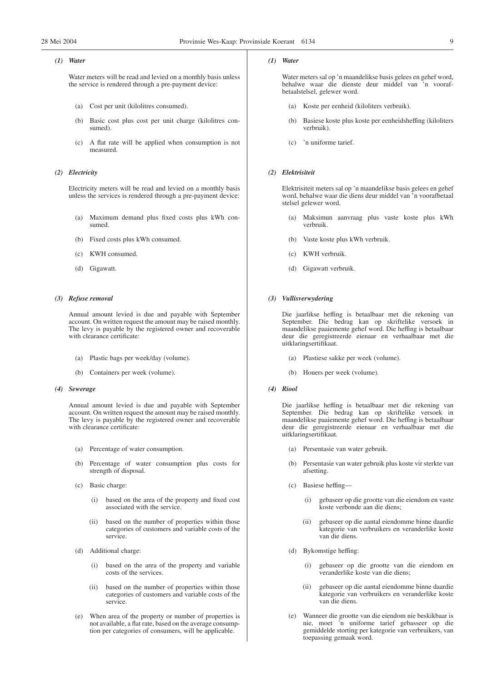## *(1) Water*

Water meters will be read and levied on a monthly basis unless the service is rendered through a pre-payment device:

- (a) Cost per unit (kilolitres consumed).
- (b) Basic cost plus cost per unit charge (kilolitres consumed).
- (c) A flat rate will be applied when consumption is not measured.

## *(2) Electricity*

Electricity meters will be read and levied on a monthly basis unless the services is rendered through a pre-payment device:

- (a) Maximum demand plus fixed costs plus kWh consumed.
- (b) Fixed costs plus kWh consumed.
- (c) KWH consumed.
- (d) Gigawatt.

## *(3) Refuse removal*

Annual amount levied is due and payable with September account. On written request the amount may be raised monthly. The levy is payable by the registered owner and recoverable with clearance certificate:

- (a) Plastic bags per week/day (volume).
- (b) Containers per week (volume).

#### *(4) Sewerage*

Annual amount levied is due and payable with September account. On written request the amount may be raised monthly. The levy is payable by the registered owner and recoverable with clearance certificate:

- (a) Percentage of water consumption.
- (b) Percentage of water consumption plus costs for strength of disposal.
- (c) Basic charge:
	- (i) based on the area of the property and fixed cost associated with the service.
	- (ii) based on the number of properties within those categories of customers and variable costs of the service.
- (d) Additional charge:
	- (i) based on the area of the property and variable costs of the services.
	- (ii) based on the number of properties within those categories of customers and variable costs of the service.
- (e) When area of the property or number of properties is not available, a flat rate, based on the average consumption per categories of consumers, will be applicable.

#### *(1) Water*

Water meters sal op 'n maandelikse basis gelees en gehef word, behalwe waar die dienste deur middel van 'n voorafbetaalstelsel, gelewer word.

- (a) Koste per eenheid (kiloliters verbruik).
- Basiese koste plus koste per eenheidsheffing (kiloliters verbruik).
- (c) 'n uniforme tarief.

## *(2) Elektrisiteit*

Elektrisiteit meters sal op 'n maandelikse basis gelees en gehef word, behalwe waar die diens deur middel van 'n voorafbetaal stelsel gelewer word.

- (a) Maksimun aanvraag plus vaste koste plus kWh verbruik.
- (b) Vaste koste plus kWh verbruik.
- (c) KWH verbruik.
- (d) Gigawatt verbruik.

## *(3) Vullisverwydering*

Die jaarlikse heffing is betaalbaar met die rekening van September. Die bedrag kan op skriftelike versoek in maandelikse paaiemente gehef word. Die heffing is betaalbaar deur die geregistreerde eienaar en verhaalbaar met die uitklaringsertifikaat.

- (a) Plastiese sakke per week (volume).
- (b) Houers per week (volume).
- *(4) Riool*

Die jaarlikse heffing is betaalbaar met die rekening van September. Die bedrag kan op skriftelike versoek in maandelikse paaiemente gehef word. Die heffing is betaalbaar deur die geregistreerde eienaar en verhaalbaar met die uitklaringsertifikaat.

- (a) Persentasie van water gebruik.
- (b) Persentasie van water gebruik plus koste vir sterkte van afsetting.
- (c) Basiese heffing—
	- (i) gebaseer op die grootte van die eiendom en vaste koste verbonde aan die diens;
	- (ii) gebaseer op die aantal eiendomme binne daardie kategorie van verbruikers en veranderlike koste van die diens.
- (d) Bykomstige heffing:
	- (i) gebaseer op die grootte van die eiendom en veranderlike koste van die diens;
	- (ii) gebaseer op die aantal eiendomme binne daardie kategorie van verbruikers en veranderlike koste van die diens.
- (e) Wanneer die grootte van die eiendom nie beskikbaar is nie, moet 'n uniforme tarief gebasseer op die gemiddelde storting per kategorie van verbruikers, van toepassing gemaak word.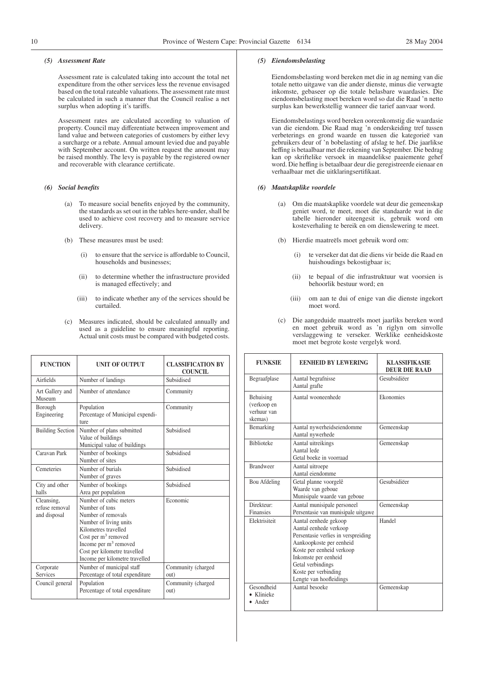## *(5) Assessment Rate*

Assessment rate is calculated taking into account the total net expenditure from the other services less the revenue envisaged based on the total rateable valuations. The assessment rate must be calculated in such a manner that the Council realise a net surplus when adopting it's tariffs.

Assessment rates are calculated according to valuation of property. Council may differentiate between improvement and land value and between categories of customers by either levy a surcharge or a rebate. Annual amount levied due and payable with September account. On written request the amount may be raised monthly. The levy is payable by the registered owner and recoverable with clearance certificate.

#### *(6) Social benefits*

- (a) To measure social benefits enjoyed by the community, the standards as set out in the tables here-under, shall be used to achieve cost recovery and to measure service delivery.
- (b) These measures must be used:
	- (i) to ensure that the service is affordable to Council, households and businesses;
	- (ii) to determine whether the infrastructure provided is managed effectively; and
	- (iii) to indicate whether any of the services should be curtailed.
- (c) Measures indicated, should be calculated annually and used as a guideline to ensure meaningful reporting. Actual unit costs must be compared with budgeted costs.

| <b>FUNCTION</b>                              | <b>UNIT OF OUTPUT</b>                                                                                                                                                                                                                  | <b>CLASSIFICATION BY</b><br><b>COUNCIL</b> |
|----------------------------------------------|----------------------------------------------------------------------------------------------------------------------------------------------------------------------------------------------------------------------------------------|--------------------------------------------|
| Airfields                                    | Number of landings                                                                                                                                                                                                                     |                                            |
| Art Gallery and<br>Museum                    | Number of attendance                                                                                                                                                                                                                   | Community                                  |
| Borough<br>Engineering                       | Population<br>Percentage of Municipal expendi-<br>ture                                                                                                                                                                                 | Community                                  |
| <b>Building Section</b>                      | Number of plans submitted<br>Value of buildings<br>Municipal value of buildings                                                                                                                                                        | Subsidised                                 |
| Caravan Park                                 | Number of bookings<br>Number of sites                                                                                                                                                                                                  | Subsidised                                 |
| Cemeteries                                   | Number of burials<br>Number of graves                                                                                                                                                                                                  | Subsidised                                 |
| City and other<br>halls                      | Number of bookings<br>Area per population                                                                                                                                                                                              | Subsidised                                 |
| Cleansing,<br>refuse removal<br>and disposal | Number of cubic meters<br>Number of tons<br>Number of removals<br>Number of living units<br>Kilometres travelled<br>Cost per $m3$ removed<br>Income per $m3$ removed<br>Cost per kilometre travelled<br>Income per kilometre travelled | Economic                                   |
| Corporate<br>Services                        | Number of municipal staff<br>Percentage of total expenditure                                                                                                                                                                           | Community (charged<br>out)                 |
| Council general                              | Population<br>Percentage of total expenditure                                                                                                                                                                                          | Community (charged<br>out)                 |

## *(5) Eiendomsbelasting*

Eiendomsbelasting word bereken met die in ag neming van die totale netto uitgawe van die ander dienste, minus die verwagte inkomste, gebaseer op die totale belasbare waardasies. Die eiendomsbelasting moet bereken word so dat die Raad 'n netto surplus kan bewerkstellig wanneer die tarief aanvaar word.

Eiendomsbelastings word bereken ooreenkomstig die waardasie van die eiendom. Die Raad mag 'n onderskeiding tref tussen verbeterings en grond waarde en tussen die kategorieë van gebruikers deur of 'n bobelasting of afslag te hef. Die jaarlikse heffing is betaalbaar met die rekening van September. Die bedrag kan op skriftelike versoek in maandelikse paaiemente gehef word. Die heffing is betaalbaar deur die geregistreerde eienaar en verhaalbaar met die uitklaringsertifikaat.

#### *(6) Maatskaplike voordele*

- (a) Om die maatskaplike voordele wat deur die gemeenskap geniet word, te meet, moet die standaarde wat in die tabelle hieronder uiteengesit is, gebruik word om kosteverhaling te bereik en om dienslewering te meet.
- (b) Hierdie maatreëls moet gebruik word om:
	- (i) te verseker dat dat die diens vir beide die Raad en huishoudings bekostigbaar is;
	- (ii) te bepaal of die infrastruktuur wat voorsien is behoorlik bestuur word; en
	- (iii) om aan te dui of enige van die dienste ingekort moet word.
- (c) Die aangeduide maatreëls moet jaarliks bereken word en moet gebruik word as 'n riglyn om sinvolle verslaggewing te verseker. Werklike eenheidskoste moet met begrote koste vergelyk word.

| <b>FUNKSIE</b>                                     | <b>EENHEID BY LEWERING</b>                                                                                                                                                                                                                      | <b>KLASSIFIKASIE</b><br><b>DEUR DIE RAAD</b> |  |
|----------------------------------------------------|-------------------------------------------------------------------------------------------------------------------------------------------------------------------------------------------------------------------------------------------------|----------------------------------------------|--|
| Begraafplase                                       | Aantal begrafnisse<br>Aantal grafte                                                                                                                                                                                                             | Gesubsidiëer                                 |  |
| Behuising<br>(verkoop en<br>verhuur van<br>skemas) | Aantal wooneenhede                                                                                                                                                                                                                              | Ekonomies                                    |  |
| Bemarking                                          | Aantal nywerheidseiendomme<br>Aantal nywerhede                                                                                                                                                                                                  | Gemeenskap                                   |  |
| <b>Biblioteke</b>                                  | Aantal uitreikings<br>Aantal lede<br>Getal boeke in voorraad                                                                                                                                                                                    | Gemeenskap                                   |  |
| <b>Brandweer</b>                                   | Aantal uitroepe<br>Aantal eiendomme                                                                                                                                                                                                             |                                              |  |
| Bou Afdeling                                       | Getal planne voorgelê<br>Waarde van geboue<br>Munisipale waarde van geboue                                                                                                                                                                      | Gesubsidiëer                                 |  |
| Direkteur:<br>Finansies                            | Aantal munisipale personeel<br>Persentasie van munisipale uitgawe                                                                                                                                                                               | Gemeenskap                                   |  |
| Elektrisiteit                                      | Aantal eenhede gekoop<br>Aantal eenhede verkoop<br>Persentasie verlies in verspreiding<br>Aankoopkoste per eenheid<br>Koste per eenheid verkoop<br>Inkomste per eenheid<br>Getal verbindings<br>Koste per verbinding<br>Lengte van hoofleidings | Handel                                       |  |
| Gesondheid<br>Klinieke<br>$\bullet$ Ander          | Aantal besoeke                                                                                                                                                                                                                                  | Gemeenskap                                   |  |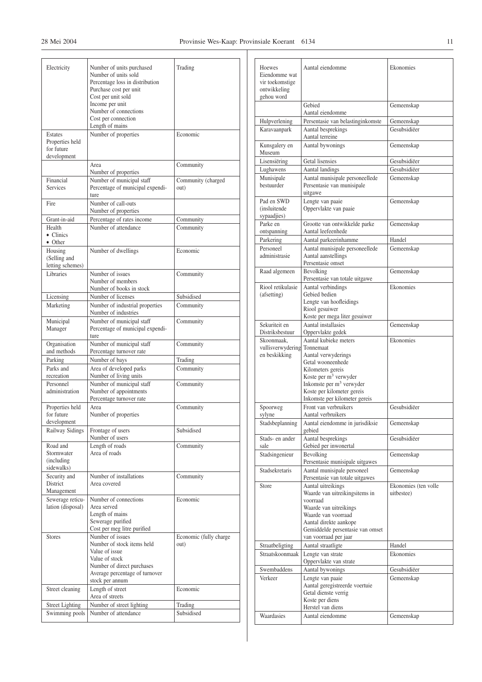| Electricity                                             | Number of units purchased<br>Number of units sold<br>Percentage loss in distribution<br>Purchase cost per unit<br>Cost per unit sold<br>Income per unit<br>Number of connections<br>Cost per connection<br>Length of mains | Trading                        |
|---------------------------------------------------------|----------------------------------------------------------------------------------------------------------------------------------------------------------------------------------------------------------------------------|--------------------------------|
| Estates<br>Properties held<br>for future<br>development | Number of properties                                                                                                                                                                                                       | Economic                       |
|                                                         | Area<br>Number of properties                                                                                                                                                                                               | Community                      |
| Financial<br><b>Services</b>                            | Number of municipal staff<br>Percentage of municipal expendi-<br>ture                                                                                                                                                      | Community (charged<br>out)     |
| Fire                                                    | Number of call-outs<br>Number of properties                                                                                                                                                                                |                                |
| Grant-in-aid                                            | Percentage of rates income                                                                                                                                                                                                 | Community                      |
| Health<br>$\bullet$ Clinics<br>• Other                  | Number of attendance                                                                                                                                                                                                       | Community                      |
| Housing<br>(Selling and<br>letting schemes)             | Number of dwellings                                                                                                                                                                                                        | Economic                       |
| Libraries                                               | Number of issues<br>Number of members<br>Number of books in stock                                                                                                                                                          | Community                      |
| Licensing                                               | Number of licenses                                                                                                                                                                                                         | Subsidised                     |
| Marketing                                               | Number of industrial properties<br>Number of industries                                                                                                                                                                    | Community                      |
| Municipal<br>Manager                                    | Number of municipal staff<br>Percentage of municipal expendi-<br>ture                                                                                                                                                      | Community                      |
| Organisation<br>and methods                             | Number of municipal staff<br>Percentage turnover rate                                                                                                                                                                      | Community                      |
| Parking                                                 | Number of bays                                                                                                                                                                                                             | Trading                        |
| Parks and<br>recreation                                 | Area of developed parks<br>Number of living units                                                                                                                                                                          | Community                      |
| Personnel<br>administration                             | Number of municipal staff<br>Number of appointments<br>Percentage turnover rate                                                                                                                                            | Community                      |
| Properties held<br>for future<br>development            | Area<br>Number of properties                                                                                                                                                                                               | Community                      |
| Railway Sidings                                         | Frontage of users<br>Number of users                                                                                                                                                                                       | Subsidised                     |
| Road and<br>Stormwater<br>(including)<br>sidewalks)     | Length of roads<br>Area of roads                                                                                                                                                                                           | Community                      |
| Security and<br>District<br>Management                  | Number of installations<br>Area covered                                                                                                                                                                                    | Community                      |
| Sewerage reticu-<br>lation (disposal)                   | Number of connections<br>Area served<br>Length of mains<br>Sewerage purified<br>Cost per meg litre purified                                                                                                                | Economic                       |
| <b>Stores</b>                                           | Number of issues<br>Number of stock items held<br>Value of issue<br>Value of stock<br>Number of direct purchases<br>Average percentage of turnover<br>stock per annum                                                      | Economic (fully charge<br>out) |
| Street cleaning                                         | Length of street<br>Area of streets                                                                                                                                                                                        | Economic                       |
| <b>Street Lighting</b>                                  | Number of street lighting                                                                                                                                                                                                  | Trading                        |
| Swimming pools                                          | Number of attendance                                                                                                                                                                                                       | Subsidised                     |

| Hoewes<br>Eiendomme wat<br>vir toekomstige | Aantal eiendomme                                                         | Ekonomies            |
|--------------------------------------------|--------------------------------------------------------------------------|----------------------|
| ontwikkeling<br>gehou word                 |                                                                          |                      |
|                                            | Gebied<br>Aantal eiendomme                                               | Gemeenskap           |
| Hulpverlening                              | Persentasie van belastinginkomste                                        | Gemeenskap           |
| Karavaanpark                               | Aantal besprekings                                                       | Gesubsidiëer         |
|                                            | Aantal terreine                                                          |                      |
| Kunsgalery en<br>Museum                    | Aantal bywonings                                                         | Gemeenskap           |
| Lisensiëring                               | <b>Getal</b> lisensies                                                   | Gesubsidiëer         |
| Lughawens                                  | Aantal landings                                                          | Gesubsidiëer         |
| Munisipale<br>bestuurder                   | Aantal munisipale personeellede<br>Persentasie van munisipale<br>uitgawe | Gemeenskap           |
| Pad en SWD                                 | Lengte van paaie                                                         | Gemeenskap           |
| <i>(insluitende)</i><br>sypaadjies)        | Oppervlakte van paaie                                                    |                      |
| Parke en                                   | Grootte van ontwikkelde parke                                            | Gemeenskap           |
| ontspanning                                | Aantal leefeenhede                                                       |                      |
| Parkering                                  | Aantal parkeerinhamme                                                    | Handel               |
| Personeel                                  | Aantal munisipale personeellede                                          | Gemeenskap           |
| administrasie                              | Aantal aanstellings<br>Persentasie omset                                 |                      |
| Raad algemeen                              | Bevolking                                                                | Gemeenskap           |
|                                            | Persentasie van totale uitgawe                                           |                      |
| Riool retikulasie                          | Aantal verbindings                                                       | Ekonomies            |
| (afsetting)                                | Gebied bedien<br>Lengte van hoofleidings                                 |                      |
|                                            | Riool gesuiwer                                                           |                      |
|                                            | Koste per mega liter gesuiwer                                            |                      |
| Sekuriteit en<br>Distriksbestuur           | Aantal installasies<br>Oppervlakte gedek                                 | Gemeenskap           |
| Skoonmaak,                                 | Aantal kubieke meters                                                    | Ekonomies            |
|                                            | Tonnemaat                                                                |                      |
| vullisverwydering                          |                                                                          |                      |
| en beskikking                              | Aantal verwyderings                                                      |                      |
|                                            | Getal wooneenhede                                                        |                      |
|                                            | Kilometers gereis<br>Koste per m <sup>3</sup> verwyder                   |                      |
|                                            | Inkomste per $m3$ verwyder                                               |                      |
|                                            | Koste per kilometer gereis<br>Inkomste per kilometer gereis              |                      |
| Spoorweg                                   | Front van verbruikers                                                    | Gesubsidiëer         |
| sylyne                                     | Aantal verbruikers                                                       |                      |
| Stadsbeplanning                            | Aantal eiendomme in jurisdiksie<br>gebied                                | Gemeenskap           |
| Stads- en ander                            | Aantal besprekings                                                       | Gesubsidiëer         |
| sale                                       | Gebied per inwonertal                                                    |                      |
| Stadsingenieur                             | Bevolking<br>Persentasie munisipale uitgawes                             | Gemeenskap           |
| Stadsekretaris                             | Aantal munisipale personeel<br>Persentasie van totale uitgawes           | Gemeenskap           |
| Store                                      | Aantal uitreikings                                                       | Ekonomies (ten volle |
|                                            | Waarde van uitreikingsitems in                                           | uitbestee)           |
|                                            | voorraad<br>Waarde van uitreikings                                       |                      |
|                                            | Waarde van voorraad                                                      |                      |
|                                            | Aantal direkte aankope                                                   |                      |
|                                            | Gemiddelde persentasie van omset<br>van voorraad per jaar                |                      |
| Straatbeligting                            | Aantal straatligte                                                       | Handel               |
| Straatskoonmaak                            | Lengte van strate                                                        | Ekonomies            |
|                                            | Oppervlakte van strate                                                   |                      |
| Swembaddens                                | Aantal bywonings                                                         | Gesubsidiëer         |
| Verkeer                                    | Lengte van paaie<br>Aantal geregistreerde voertuie                       | Gemeenskap           |
|                                            | Getal dienste verrig                                                     |                      |
|                                            | Koste per diens                                                          |                      |
| Waardasies                                 | Herstel van diens<br>Aantal eiendomme                                    | Gemeenskap           |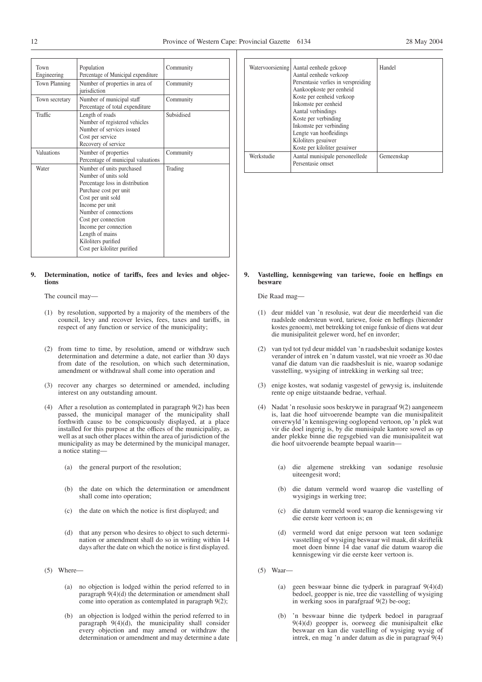| Town<br>Engineering | Population<br>Percentage of Municipal expenditure                                                                                                                                                                                                                                                         | Community  |
|---------------------|-----------------------------------------------------------------------------------------------------------------------------------------------------------------------------------------------------------------------------------------------------------------------------------------------------------|------------|
| Town Planning       | Number of properties in area of<br>iurisdiction                                                                                                                                                                                                                                                           | Community  |
| Town secretary      | Number of municipal staff<br>Percentage of total expenditure                                                                                                                                                                                                                                              | Community  |
| Traffic             | Length of roads<br>Number of registered vehicles<br>Number of services issued<br>Cost per service<br>Recovery of service                                                                                                                                                                                  | Subsidised |
| Valuations          | Number of properties<br>Percentage of municipal valuations                                                                                                                                                                                                                                                | Community  |
| Water               | Number of units purchased<br>Number of units sold<br>Percentage loss in distribution<br>Purchase cost per unit<br>Cost per unit sold<br>Income per unit<br>Number of connections<br>Cost per connection<br>Income per connection<br>Length of mains<br>Kiloliters purified<br>Cost per kiloliter purified | Trading    |

#### **9. Determination, notice of tariffs, fees and levies and objections**

The council may—

- (1) by resolution, supported by a majority of the members of the council, levy and recover levies, fees, taxes and tariffs, in respect of any function or service of the municipality;
- (2) from time to time, by resolution, amend or withdraw such determination and determine a date, not earlier than 30 days from date of the resolution, on which such determination, amendment or withdrawal shall come into operation and
- (3) recover any charges so determined or amended, including interest on any outstanding amount.
- (4) After a resolution as contemplated in paragraph 9(2) has been passed, the municipal manager of the municipality shall forthwith cause to be conspicuously displayed, at a place installed for this purpose at the offices of the municipality, as well as at such other places within the area of jurisdiction of the municipality as may be determined by the municipal manager, a notice stating—
	- (a) the general purport of the resolution;
	- (b) the date on which the determination or amendment shall come into operation;
	- (c) the date on which the notice is first displayed; and
	- (d) that any person who desires to object to such determination or amendment shall do so in writing within 14 days after the date on which the notice is first displayed.
- (5) Where—
	- (a) no objection is lodged within the period referred to in paragraph 9(4)(d) the determination or amendment shall come into operation as contemplated in paragraph 9(2);
	- (b) an objection is lodged within the period referred to in paragraph 9(4)(d), the municipality shall consider every objection and may amend or withdraw the determination or amendment and may determine a date

|            | Watervoorsiening Aantal eenhede gekoop<br>Aantal eenhede verkoop<br>Persentasie verlies in verspreiding<br>Aankoopkoste per eenheid<br>Koste per eenheid verkoop<br>Inkomste per eenheid<br>Aantal verbindings<br>Koste per verbinding<br>Inkomste per verbinding<br>Lengte van hoofleidings<br>Kiloliters gesuiwer<br>Koste per kiloliter gesuiwer | Handel     |
|------------|-----------------------------------------------------------------------------------------------------------------------------------------------------------------------------------------------------------------------------------------------------------------------------------------------------------------------------------------------------|------------|
| Werkstudie | Aantal munisipale personeellede<br>Persentasie omset                                                                                                                                                                                                                                                                                                | Gemeenskap |

#### **9. Vastelling, kennisgewing van tariewe, fooie en heffings en besware**

Die Raad mag—

- (1) deur middel van 'n resolusie, wat deur die meerderheid van die raadslede ondersteun word, tariewe, fooie en heffings (hieronder kostes genoem), met betrekking tot enige funksie of diens wat deur die munisipaliteit gelewer word, hef en invorder;
- (2) van tyd tot tyd deur middel van 'n raadsbesluit sodanige kostes verander of intrek en 'n datum vasstel, wat nie vroeër as 30 dae vanaf die datum van die raadsbesluit is nie, waarop sodanige vasstelling, wysiging of intrekking in werking sal tree;
- (3) enige kostes, wat sodanig vasgestel of gewysig is, insluitende rente op enige uitstaande bedrae, verhaal.
- (4) Nadat 'n resolusie soos beskrywe in paragraaf 9(2) aangeneem is, laat die hoof uitvoerende beampte van die munisipaliteit onverwyld 'n kennisgewing ooglopend vertoon, op 'n plek wat vir die doel ingerig is, by die munisipale kantore sowel as op ander plekke binne die regsgebied van die munisipaliteit wat die hoof uitvoerende beampte bepaal waarin—
	- (a) die algemene strekking van sodanige resolusie uiteengesit word;
	- (b) die datum vermeld word waarop die vastelling of wysigings in werking tree;
	- (c) die datum vermeld word waarop die kennisgewing vir die eerste keer vertoon is; en
	- (d) vermeld word dat enige persoon wat teen sodanige vasstelling of wysiging beswaar wil maak, dit skriftelik moet doen binne 14 dae vanaf die datum waarop die kennisgewing vir die eerste keer vertoon is.
- (5) Waar—
	- (a) geen beswaar binne die tydperk in paragraaf 9(4)(d) bedoel, geopper is nie, tree die vasstelling of wysiging in werking soos in parafgraaf 9(2) be-oog;
	- 'n beswaar binne die tydperk bedoel in paragraaf 9(4)(d) geopper is, oorweeg die munisipalteit elke beswaar en kan die vastelling of wysiging wysig of intrek, en mag 'n ander datum as die in paragraaf 9(4)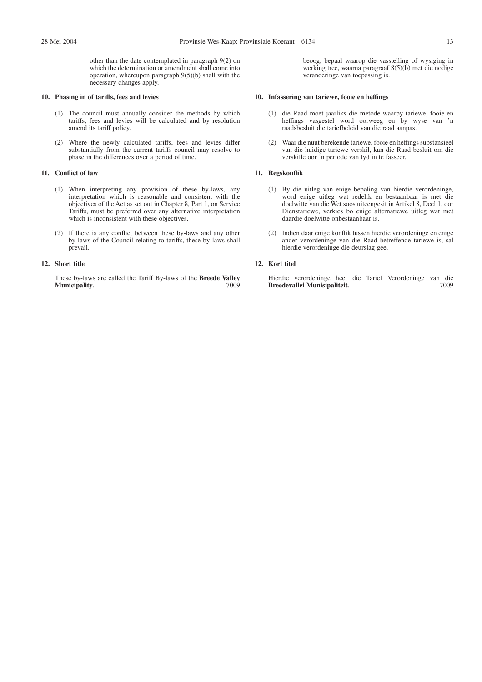other than the date contemplated in paragraph 9(2) on which the determination or amendment shall come into operation, whereupon paragraph 9(5)(b) shall with the necessary changes apply.

#### **10. Phasing in of tariffs, fees and levies**

- (1) The council must annually consider the methods by which tariffs, fees and levies will be calculated and by resolution amend its tariff policy.
- (2) Where the newly calculated tariffs, fees and levies differ substantially from the current tariffs council may resolve to phase in the differences over a period of time.

## **11. Conflict of law**

- (1) When interpreting any provision of these by-laws, any interpretation which is reasonable and consistent with the objectives of the Act as set out in Chapter 8, Part 1, on Service Tariffs, must be preferred over any alternative interpretation which is inconsistent with these objectives.
- (2) If there is any conflict between these by-laws and any other by-laws of the Council relating to tariffs, these by-laws shall prevail.

## **12. Short title**

These by-laws are called the Tariff By-laws of the **Bre Municipality**.

beoog, bepaal waarop die vasstelling of wysiging in werking tree, waarna paragraaf 8(5)(b) met die nodige veranderinge van toepassing is.

#### **10. Infassering van tariewe, fooie en heffings**

- (1) die Raad moet jaarliks die metode waarby tariewe, fooie en heffings vasgestel word oorweeg en by wyse van 'n raadsbesluit die tariefbeleid van die raad aanpas.
- (2) Waar die nuut berekende tariewe, fooie en heffings substansieel van die huidige tariewe verskil, kan die Raad besluit om die verskille oor 'n periode van tyd in te fasseer.

## **11. Regskonflik**

- (1) By die uitleg van enige bepaling van hierdie verordeninge, word enige uitleg wat redelik en bestaanbaar is met die doelwitte van die Wet soos uiteengesit in Artikel 8, Deel 1, oor Dienstariewe, verkies bo enige alternatiewe uitleg wat met daardie doelwitte onbestaanbaar is.
- (2) Indien daar enige konflik tussen hierdie verordeninge en enige ander verordeninge van die Raad betreffende tariewe is, sal hierdie verordeninge die deurslag gee.

## **12. Kort titel**

| eede Valley | Hierdie verordeninge heet die Tarief Verordeninge van die |  |      |  |  |
|-------------|-----------------------------------------------------------|--|------|--|--|
| 7009-       | Breedevallei Munisipaliteit.                              |  | 7009 |  |  |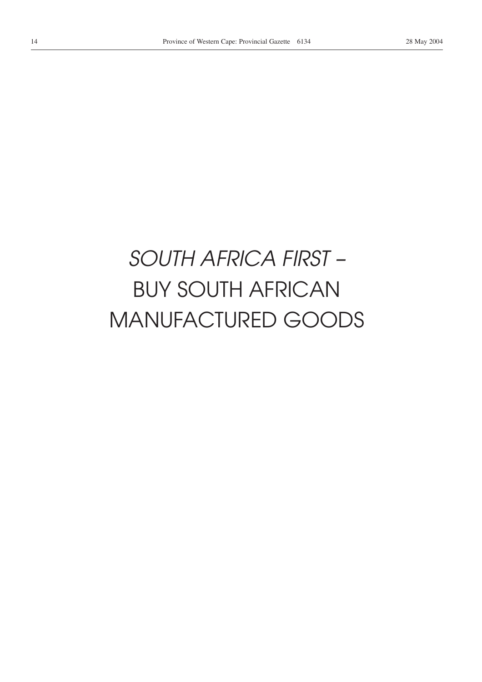# *SOUTH AFRICA FIRST –* BUY SOUTH AFRICAN MANUFACTURED GOODS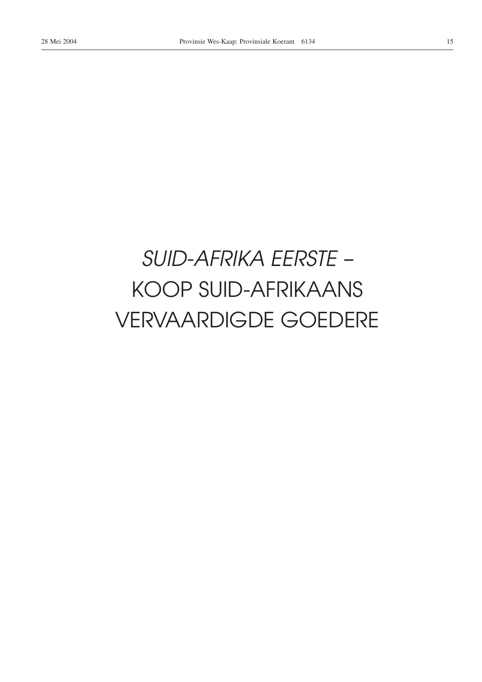# *SUID-AFRIKA EERSTE –* KOOP SUID-AFRIKAANS VERVAARDIGDE GOEDERE